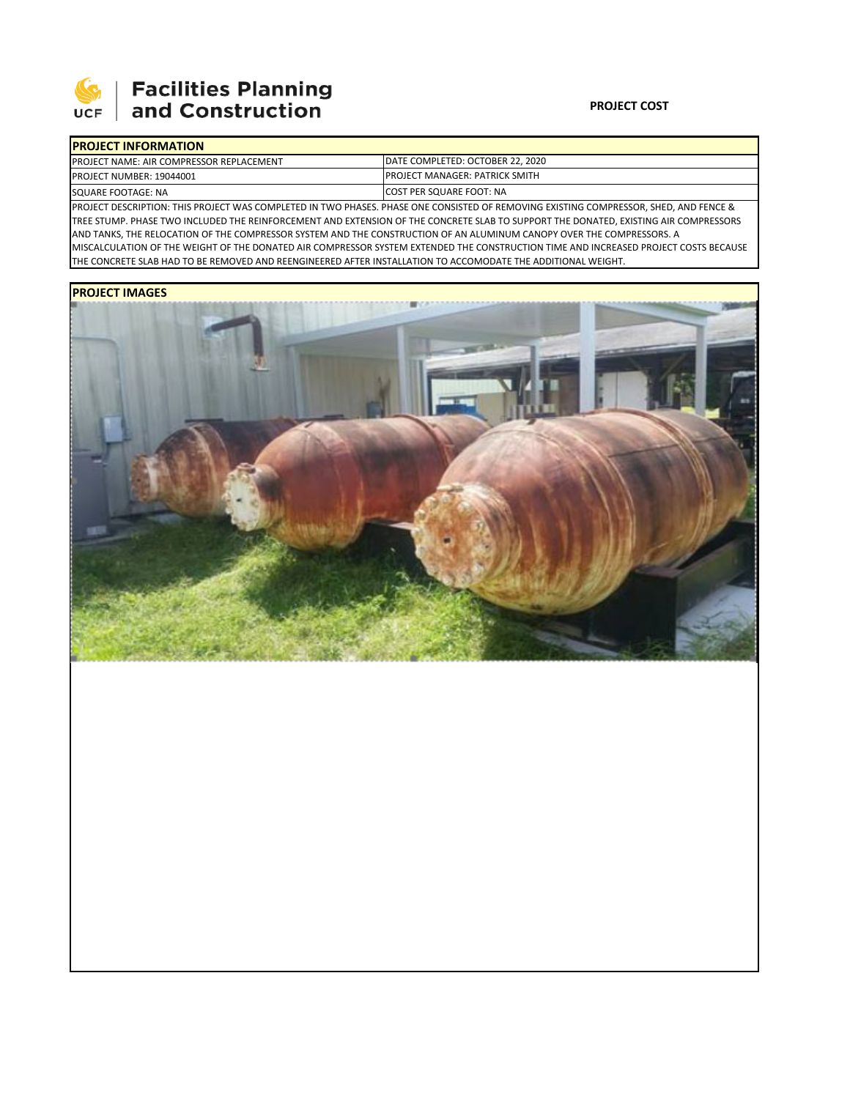

# **Facilities Planning<br>and Construction**

### **PROJECT COST**

| <b>IPROJECT INFORMATION</b>                      |                                       |
|--------------------------------------------------|---------------------------------------|
| <b>IPROJECT NAME: AIR COMPRESSOR REPLACEMENT</b> | DATE COMPLETED: OCTOBER 22. 2020      |
| PROJECT NUMBER: 19044001                         | <b>PROJECT MANAGER: PATRICK SMITH</b> |
| SQUARE FOOTAGE: NA                               | COST PER SQUARE FOOT: NA              |

PROJECT DESCRIPTION: THIS PROJECT WAS COMPLETED IN TWO PHASES. PHASE ONE CONSISTED OF REMOVING EXISTING COMPRESSOR, SHED, AND FENCE & TREE STUMP. PHASE TWO INCLUDED THE REINFORCEMENT AND EXTENSION OF THE CONCRETE SLAB TO SUPPORT THE DONATED, EXISTING AIR COMPRESSORS AND TANKS, THE RELOCATION OF THE COMPRESSOR SYSTEM AND THE CONSTRUCTION OF AN ALUMINUM CANOPY OVER THE COMPRESSORS. A MISCALCULATION OF THE WEIGHT OF THE DONATED AIR COMPRESSOR SYSTEM EXTENDED THE CONSTRUCTION TIME AND INCREASED PROJECT COSTS BECAUSE THE CONCRETE SLAB HAD TO BE REMOVED AND REENGINEERED AFTER INSTALLATION TO ACCOMODATE THE ADDITIONAL WEIGHT.

## **PROJECT IMAGES**